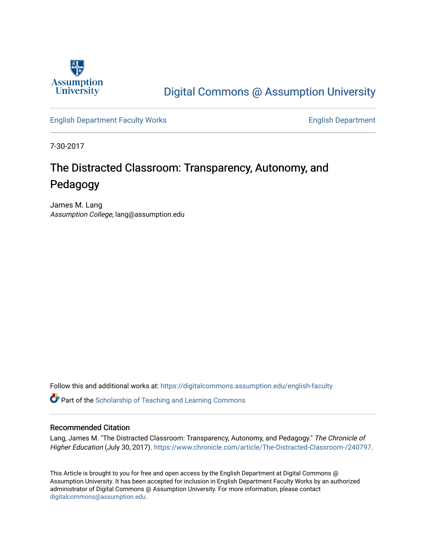

# [Digital Commons @ Assumption University](https://digitalcommons.assumption.edu/)

### [English Department Faculty Works](https://digitalcommons.assumption.edu/english-faculty) [English Department](https://digitalcommons.assumption.edu/english)

7-30-2017

# The Distracted Classroom: Transparency, Autonomy, and Pedagogy

James M. Lang Assumption College, lang@assumption.edu

Follow this and additional works at: [https://digitalcommons.assumption.edu/english-faculty](https://digitalcommons.assumption.edu/english-faculty?utm_source=digitalcommons.assumption.edu%2Fenglish-faculty%2F28&utm_medium=PDF&utm_campaign=PDFCoverPages) 

**P** Part of the Scholarship of Teaching and Learning Commons

#### Recommended Citation

Lang, James M. "The Distracted Classroom: Transparency, Autonomy, and Pedagogy." The Chronicle of Higher Education (July 30, 2017). [https://www.chronicle.com/article/The-Distracted-Classroom-/240797.](https://www.chronicle.com/article/The-Distracted-Classroom-/240797)

This Article is brought to you for free and open access by the English Department at Digital Commons @ Assumption University. It has been accepted for inclusion in English Department Faculty Works by an authorized administrator of Digital Commons @ Assumption University. For more information, please contact [digitalcommons@assumption.edu](mailto:digitalcommons@assumption.edu).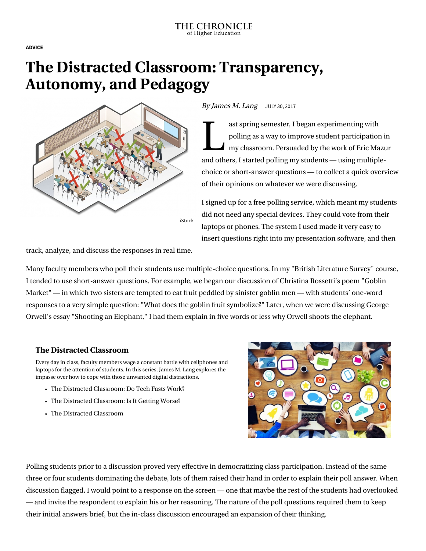**[ADVICE](https://www.chronicle.com/section/Advice/66)**

# **The Distracted Classroom: Transparency, Autonomy, and Pedagogy**



## By James M. Lang JULY 30, 2017

ast spolling ast spring semester, I began experimenting with polling as a way to improve student participation in my classroom. Persuaded by the work of [Eric Mazur](http://ericmazur.com/) and others, I started polling my students — using multiplechoice or short-answer questions — to collect a quick overview of their opinions on whatever we were discussing.

I signed up for a [free polling service](https://www.polleverywhere.com/), which meant my students did not need any special devices. They could vote from their laptops or phones. The system I used made it very easy to insert questions right into my presentation software, and then

track, analyze, and discuss the responses in real time.

Many faculty members who poll their students use multiple-choice questions. In my "British Literature Survey" course, I tended to use short-answer questions. For example, we began our discussion of Christina Rossetti's poem "Goblin Market" — in which two sisters are tempted to eat fruit peddled by sinister goblin men — with students' one-word responses to a very simple question: "What does the goblin fruit symbolize?" Later, when we were discussing George Orwell's essay "Shooting an Elephant," I had them explain in five words or less why Orwell shoots the elephant.

## **[The Distracted Classroom](https://www.chronicle.com/specialreport/The-Distracted-Classroom/120?cid=RCPACKAGE)**

Every day in class, faculty members wage a constant battle with cellphones and laptops for the attention of students. In this series, James M. Lang explores the impasse over how to cope with those unwanted digital distractions.

- [The Distracted Classroom: Do Tech Fasts Work?](https://www.chronicle.com/article/The-Distracted-Classroom-Do/240259?cid=RCPACKAGE)
- [The Distracted Classroom: Is It Getting Worse?](https://www.chronicle.com/article/The-Distracted-Classroom-Is/239785?cid=RCPACKAGE)
- [The Distracted Classroom](https://www.chronicle.com/article/The-Distracted-Classroom/239446?cid=RCPACKAGE)



Polling students prior to a discussion proved very effective in democratizing class participation. Instead of the same three or four students dominating the debate, lots of them raised their hand in order to explain their poll answer. When discussion flagged, I would point to a response on the screen — one that maybe the rest of the students had overlooked — and invite the respondent to explain his or her reasoning. The nature of the poll questions required them to keep their initial answers brief, but the in-class discussion encouraged an expansion of their thinking.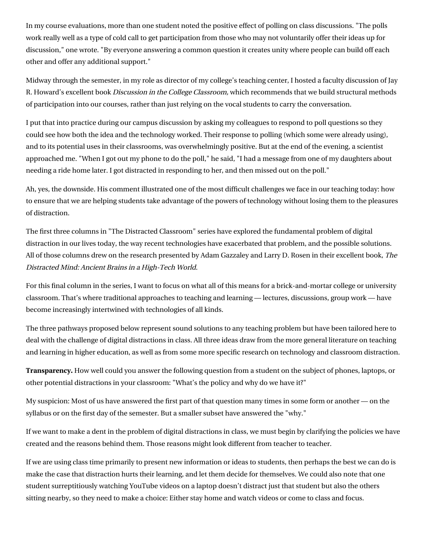In my course evaluations, more than one student noted the positive effect of polling on class discussions. "The polls work really well as a type of cold call to get participation from those who may not voluntarily offer their ideas up for discussion," one wrote. "By everyone answering a common question it creates unity where people can build off each other and offer any additional support."

Midway through the semester, in my role as director of my college's teaching center, I hosted a faculty discussion of Jay R. Howard's excellent book *Discussion in the College Classroom*, which recommends that we build structural methods of participation into our courses, rather than just relying on the vocal students to carry the conversation.

I put that into practice during our campus discussion by asking my colleagues to respond to poll questions so they could see how both the idea and the technology worked. Their response to polling (which some were already using), and to its potential uses in their classrooms, was overwhelmingly positive. But at the end of the evening, a scientist approached me. "When I got out my phone to do the poll," he said, "I had a message from one of my daughters about needing a ride home later. I got distracted in responding to her, and then missed out on the poll."

Ah, yes, the downside. His comment illustrated one of the most difficult challenges we face in our teaching today: how to ensure that we are helping students take advantage of the powers of technology without losing them to the pleasures of distraction.

The first three columns in "The Distracted Classroom" [series](http://www.chronicle.com/specialreport/The-Distracted-Classroom/120?cid=RCPACKAGE) have explored the fundamental problem of digital [distraction in our lives today, the way recent technologies have exacerbated that problem, and the possible sol](http://www.chronicle.com/article/The-Distracted-Classroom/239446)[utions.](http://www.chronicle.com/article/The-Distracted-Classroom-Do/240259) All of those columns drew on the research presented by Adam Gazzaley and Larry D. Rosen in [their excellent book,](https://www.amazon.com/Distracted-Mind-Ancient-Brains-High-Tech/dp/0262034948) The Distracted Mind: Ancient Brains in a High-Tech World.

For this final column in the series, I want to focus on what all of this means for a brick-and-mortar college or university classroom. That's where traditional approaches to teaching and learning — lectures, discussions, group work — have become increasingly intertwined with technologies of all kinds.

The three pathways proposed below represent sound solutions to any teaching problem but have been tailored here to deal with the challenge of digital distractions in class. All three ideas draw from the more general literature on teaching and learning in higher education, as well as from some more specific research on technology and classroom distraction.

**Transparency.** How well could you answer the following question from a student on the subject of phones, laptops, or other potential distractions in your classroom: "What's the policy and why do we have it?"

My suspicion: Most of us have answered the first part of that question many times in some form or another — on the syllabus or on the first day of the semester. But a smaller subset have answered the "why."

If we want to make a dent in the problem of digital distractions in class, we must begin by clarifying the policies we have created and the reasons behind them. Those reasons might look different from teacher to teacher.

If we are using class time primarily to present new information or ideas to students, then perhaps the best we can do is make the case that distraction hurts their learning, and let them decide for themselves. We could also note that one student surreptitiously watching YouTube videos on a laptop doesn't distract just that student but also the others sitting nearby, so they need to make a choice: Either stay home and watch videos or come to class and focus.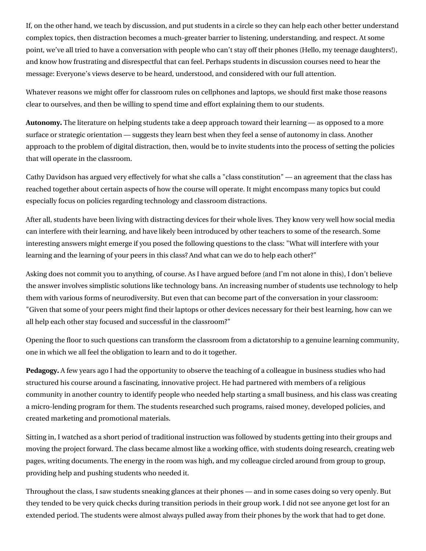If, on the other hand, we teach by discussion, and put students in a circle so they can help each other better understand complex topics, then distraction becomes a much-greater barrier to listening, understanding, and respect. At some point, we've all tried to have a conversation with people who can't stay off their phones (Hello, my teenage daughters!), and know how frustrating and disrespectful that can feel. Perhaps students in discussion courses need to hear the message: Everyone's views deserve to be heard, understood, and considered with our full attention.

Whatever reasons we might offer for classroom rules on cellphones and laptops, we should first make those reasons clear to ourselves, and then be willing to spend time and effort explaining them to our students.

**Autonomy.** The literature on helping students take a deep approach toward their learning — as opposed to a more surface or strategic orientation — suggests they learn best when they feel a sense of autonomy in class. Another approach to the problem of digital distraction, then, would be to invite students into the process of [setting the policies](https://chroniclevitae.com/news/1361-small-changes-in-teaching-giving-them-a-say) that will operate in the classroom.

Cathy Davidson has argued very effectively for what she calls a ["class constitution"](https://www.hastac.org/blogs/cathy-davidson/2013/08/01/chapter-one-how-class-becomes-community-theory-method-examples) — an agreement that the class has reached together about certain aspects of how the course will operate. It might encompass many topics but could especially focus on policies regarding technology and classroom distractions.

After all, students have been living with distracting devices for their whole lives. They know very well how social media can interfere with their learning, and have likely been introduced by other teachers to some of the research. Some interesting answers might emerge if you posed the following questions to the class: "What will interfere with your learning and the learning of your peers in this class? And what can we do to help each other?"

Asking does not commit you to anything, of course. As [I have argued before](http://www.chronicle.com/article/No-Banning-Laptops-Is-Not-the/237752) (and I'm not alone in this), I don't believe the answer involves simplistic solutions like technology bans. An increasing number of students use technology to help them with various forms of neurodiversity. But even that can become part of the conversation in your classroom: "Given that some of your peers might find their laptops or other devices necessary for their best learning, how can we all help each other stay focused and successful in the classroom?"

Opening the floor to such questions can transform the classroom from a dictatorship to a genuine learning community, one in which we all feel the obligation to learn and to do it together.

**Pedagogy.** A few years ago I had the opportunity to observe the teaching of a colleague in business studies who had structured his course around a fascinating, innovative project. He had partnered with members of a religious community in another country to identify people who needed help starting a small business, and his class was creating a micro-lending program for them. The students researched such programs, raised money, developed policies, and created marketing and promotional materials.

Sitting in, I watched as a short period of traditional instruction was followed by students getting into their groups and moving the project forward. The class became almost like a working office, with students doing research, creating web pages, writing documents. The energy in the room was high, and my colleague circled around from group to group, providing help and pushing students who needed it.

Throughout the class, I saw students sneaking glances at their phones — and in some cases doing so very openly. But they tended to be very quick checks during transition periods in their group work. I did not see anyone get lost for an extended period. The students were almost always pulled away from their phones by the work that had to get done.